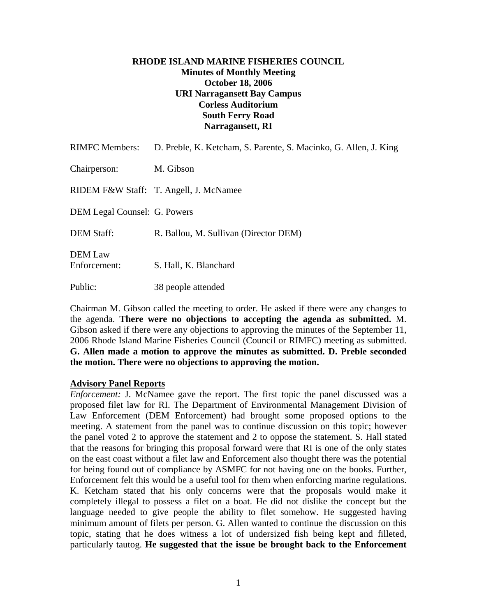# **RHODE ISLAND MARINE FISHERIES COUNCIL Minutes of Monthly Meeting October 18, 2006 URI Narragansett Bay Campus Corless Auditorium South Ferry Road Narragansett, RI**

| <b>RIMFC Members:</b>          | D. Preble, K. Ketcham, S. Parente, S. Macinko, G. Allen, J. King |
|--------------------------------|------------------------------------------------------------------|
| Chairperson:                   | M. Gibson                                                        |
|                                | RIDEM F&W Staff: T. Angell, J. McNamee                           |
| DEM Legal Counsel: G. Powers   |                                                                  |
| <b>DEM Staff:</b>              | R. Ballou, M. Sullivan (Director DEM)                            |
| <b>DEM</b> Law<br>Enforcement: | S. Hall, K. Blanchard                                            |
| Public:                        | 38 people attended                                               |

Chairman M. Gibson called the meeting to order. He asked if there were any changes to the agenda. **There were no objections to accepting the agenda as submitted.** M. Gibson asked if there were any objections to approving the minutes of the September 11, 2006 Rhode Island Marine Fisheries Council (Council or RIMFC) meeting as submitted. **G. Allen made a motion to approve the minutes as submitted. D. Preble seconded the motion. There were no objections to approving the motion.** 

## **Advisory Panel Reports**

*Enforcement:* J. McNamee gave the report. The first topic the panel discussed was a proposed filet law for RI. The Department of Environmental Management Division of Law Enforcement (DEM Enforcement) had brought some proposed options to the meeting. A statement from the panel was to continue discussion on this topic; however the panel voted 2 to approve the statement and 2 to oppose the statement. S. Hall stated that the reasons for bringing this proposal forward were that RI is one of the only states on the east coast without a filet law and Enforcement also thought there was the potential for being found out of compliance by ASMFC for not having one on the books. Further, Enforcement felt this would be a useful tool for them when enforcing marine regulations. K. Ketcham stated that his only concerns were that the proposals would make it completely illegal to possess a filet on a boat. He did not dislike the concept but the language needed to give people the ability to filet somehow. He suggested having minimum amount of filets per person. G. Allen wanted to continue the discussion on this topic, stating that he does witness a lot of undersized fish being kept and filleted, particularly tautog. **He suggested that the issue be brought back to the Enforcement**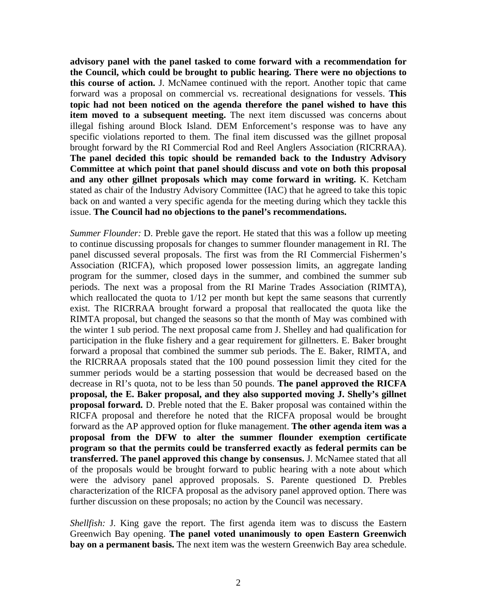**advisory panel with the panel tasked to come forward with a recommendation for the Council, which could be brought to public hearing. There were no objections to this course of action.** J. McNamee continued with the report. Another topic that came forward was a proposal on commercial vs. recreational designations for vessels. **This topic had not been noticed on the agenda therefore the panel wished to have this item moved to a subsequent meeting.** The next item discussed was concerns about illegal fishing around Block Island. DEM Enforcement's response was to have any specific violations reported to them. The final item discussed was the gillnet proposal brought forward by the RI Commercial Rod and Reel Anglers Association (RICRRAA). **The panel decided this topic should be remanded back to the Industry Advisory Committee at which point that panel should discuss and vote on both this proposal and any other gillnet proposals which may come forward in writing.** K. Ketcham stated as chair of the Industry Advisory Committee (IAC) that he agreed to take this topic back on and wanted a very specific agenda for the meeting during which they tackle this issue. **The Council had no objections to the panel's recommendations.** 

*Summer Flounder:* D. Preble gave the report. He stated that this was a follow up meeting to continue discussing proposals for changes to summer flounder management in RI. The panel discussed several proposals. The first was from the RI Commercial Fishermen's Association (RICFA), which proposed lower possession limits, an aggregate landing program for the summer, closed days in the summer, and combined the summer sub periods. The next was a proposal from the RI Marine Trades Association (RIMTA), which reallocated the quota to  $1/12$  per month but kept the same seasons that currently exist. The RICRRAA brought forward a proposal that reallocated the quota like the RIMTA proposal, but changed the seasons so that the month of May was combined with the winter 1 sub period. The next proposal came from J. Shelley and had qualification for participation in the fluke fishery and a gear requirement for gillnetters. E. Baker brought forward a proposal that combined the summer sub periods. The E. Baker, RIMTA, and the RICRRAA proposals stated that the 100 pound possession limit they cited for the summer periods would be a starting possession that would be decreased based on the decrease in RI's quota, not to be less than 50 pounds. **The panel approved the RICFA proposal, the E. Baker proposal, and they also supported moving J. Shelly's gillnet proposal forward.** D. Preble noted that the E. Baker proposal was contained within the RICFA proposal and therefore he noted that the RICFA proposal would be brought forward as the AP approved option for fluke management. **The other agenda item was a proposal from the DFW to alter the summer flounder exemption certificate program so that the permits could be transferred exactly as federal permits can be transferred. The panel approved this change by consensus.** J. McNamee stated that all of the proposals would be brought forward to public hearing with a note about which were the advisory panel approved proposals. S. Parente questioned D. Prebles characterization of the RICFA proposal as the advisory panel approved option. There was further discussion on these proposals; no action by the Council was necessary.

*Shellfish:* J. King gave the report. The first agenda item was to discuss the Eastern Greenwich Bay opening. **The panel voted unanimously to open Eastern Greenwich bay on a permanent basis.** The next item was the western Greenwich Bay area schedule.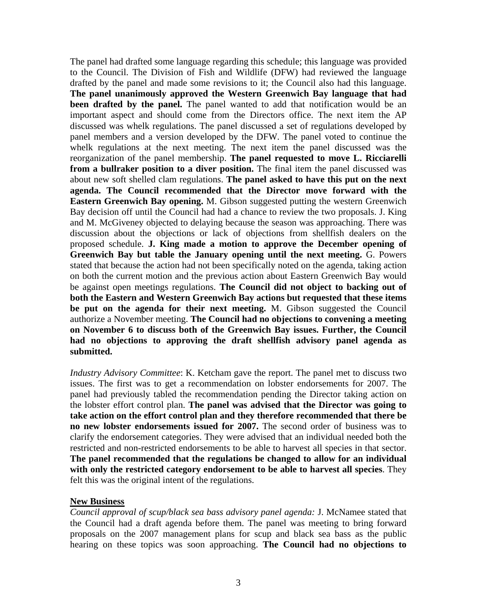The panel had drafted some language regarding this schedule; this language was provided to the Council. The Division of Fish and Wildlife (DFW) had reviewed the language drafted by the panel and made some revisions to it; the Council also had this language. **The panel unanimously approved the Western Greenwich Bay language that had been drafted by the panel.** The panel wanted to add that notification would be an important aspect and should come from the Directors office. The next item the AP discussed was whelk regulations. The panel discussed a set of regulations developed by panel members and a version developed by the DFW. The panel voted to continue the whelk regulations at the next meeting. The next item the panel discussed was the reorganization of the panel membership. **The panel requested to move L. Ricciarelli from a bullraker position to a diver position.** The final item the panel discussed was about new soft shelled clam regulations. **The panel asked to have this put on the next agenda. The Council recommended that the Director move forward with the Eastern Greenwich Bay opening.** M. Gibson suggested putting the western Greenwich Bay decision off until the Council had had a chance to review the two proposals. J. King and M. McGiveney objected to delaying because the season was approaching. There was discussion about the objections or lack of objections from shellfish dealers on the proposed schedule. **J. King made a motion to approve the December opening of Greenwich Bay but table the January opening until the next meeting.** G. Powers stated that because the action had not been specifically noted on the agenda, taking action on both the current motion and the previous action about Eastern Greenwich Bay would be against open meetings regulations. **The Council did not object to backing out of both the Eastern and Western Greenwich Bay actions but requested that these items be put on the agenda for their next meeting.** M. Gibson suggested the Council authorize a November meeting. **The Council had no objections to convening a meeting on November 6 to discuss both of the Greenwich Bay issues. Further, the Council had no objections to approving the draft shellfish advisory panel agenda as submitted.** 

*Industry Advisory Committee*: K. Ketcham gave the report. The panel met to discuss two issues. The first was to get a recommendation on lobster endorsements for 2007. The panel had previously tabled the recommendation pending the Director taking action on the lobster effort control plan. **The panel was advised that the Director was going to take action on the effort control plan and they therefore recommended that there be no new lobster endorsements issued for 2007.** The second order of business was to clarify the endorsement categories. They were advised that an individual needed both the restricted and non-restricted endorsements to be able to harvest all species in that sector. **The panel recommended that the regulations be changed to allow for an individual with only the restricted category endorsement to be able to harvest all species**. They felt this was the original intent of the regulations.

## **New Business**

*Council approval of scup/black sea bass advisory panel agenda:* J. McNamee stated that the Council had a draft agenda before them. The panel was meeting to bring forward proposals on the 2007 management plans for scup and black sea bass as the public hearing on these topics was soon approaching. **The Council had no objections to**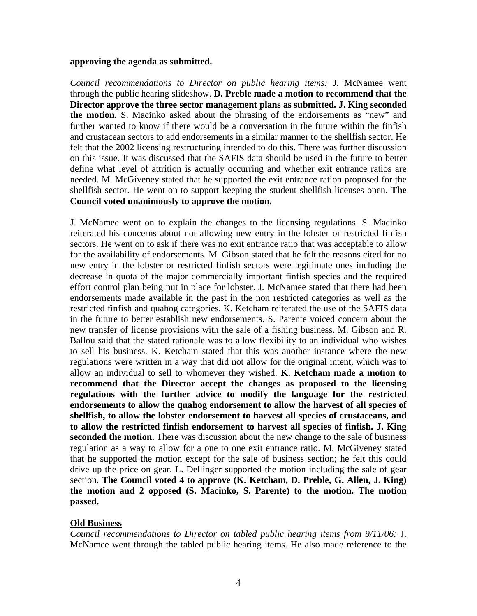#### **approving the agenda as submitted.**

*Council recommendations to Director on public hearing items:* J. McNamee went through the public hearing slideshow. **D. Preble made a motion to recommend that the Director approve the three sector management plans as submitted. J. King seconded the motion.** S. Macinko asked about the phrasing of the endorsements as "new" and further wanted to know if there would be a conversation in the future within the finfish and crustacean sectors to add endorsements in a similar manner to the shellfish sector. He felt that the 2002 licensing restructuring intended to do this. There was further discussion on this issue. It was discussed that the SAFIS data should be used in the future to better define what level of attrition is actually occurring and whether exit entrance ratios are needed. M. McGiveney stated that he supported the exit entrance ration proposed for the shellfish sector. He went on to support keeping the student shellfish licenses open. **The Council voted unanimously to approve the motion.** 

J. McNamee went on to explain the changes to the licensing regulations. S. Macinko reiterated his concerns about not allowing new entry in the lobster or restricted finfish sectors. He went on to ask if there was no exit entrance ratio that was acceptable to allow for the availability of endorsements. M. Gibson stated that he felt the reasons cited for no new entry in the lobster or restricted finfish sectors were legitimate ones including the decrease in quota of the major commercially important finfish species and the required effort control plan being put in place for lobster. J. McNamee stated that there had been endorsements made available in the past in the non restricted categories as well as the restricted finfish and quahog categories. K. Ketcham reiterated the use of the SAFIS data in the future to better establish new endorsements. S. Parente voiced concern about the new transfer of license provisions with the sale of a fishing business. M. Gibson and R. Ballou said that the stated rationale was to allow flexibility to an individual who wishes to sell his business. K. Ketcham stated that this was another instance where the new regulations were written in a way that did not allow for the original intent, which was to allow an individual to sell to whomever they wished. **K. Ketcham made a motion to recommend that the Director accept the changes as proposed to the licensing regulations with the further advice to modify the language for the restricted endorsements to allow the quahog endorsement to allow the harvest of all species of shellfish, to allow the lobster endorsement to harvest all species of crustaceans, and to allow the restricted finfish endorsement to harvest all species of finfish. J. King seconded the motion.** There was discussion about the new change to the sale of business regulation as a way to allow for a one to one exit entrance ratio. M. McGiveney stated that he supported the motion except for the sale of business section; he felt this could drive up the price on gear. L. Dellinger supported the motion including the sale of gear section. **The Council voted 4 to approve (K. Ketcham, D. Preble, G. Allen, J. King) the motion and 2 opposed (S. Macinko, S. Parente) to the motion. The motion passed.** 

# **Old Business**

*Council recommendations to Director on tabled public hearing items from 9/11/06:* J. McNamee went through the tabled public hearing items. He also made reference to the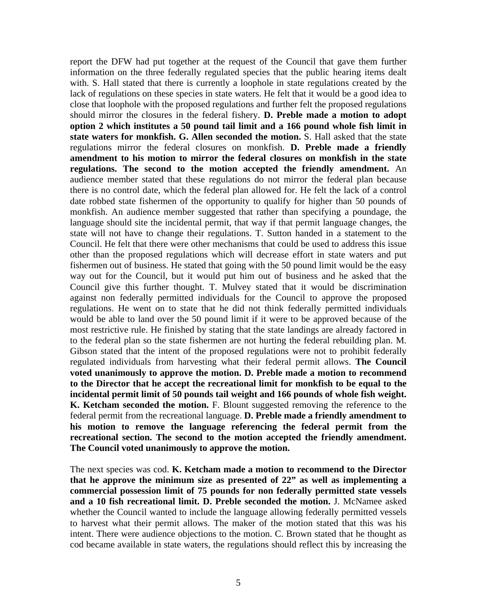report the DFW had put together at the request of the Council that gave them further information on the three federally regulated species that the public hearing items dealt with. S. Hall stated that there is currently a loophole in state regulations created by the lack of regulations on these species in state waters. He felt that it would be a good idea to close that loophole with the proposed regulations and further felt the proposed regulations should mirror the closures in the federal fishery. **D. Preble made a motion to adopt option 2 which institutes a 50 pound tail limit and a 166 pound whole fish limit in state waters for monkfish. G. Allen seconded the motion.** S. Hall asked that the state regulations mirror the federal closures on monkfish. **D. Preble made a friendly amendment to his motion to mirror the federal closures on monkfish in the state regulations. The second to the motion accepted the friendly amendment.** An audience member stated that these regulations do not mirror the federal plan because there is no control date, which the federal plan allowed for. He felt the lack of a control date robbed state fishermen of the opportunity to qualify for higher than 50 pounds of monkfish. An audience member suggested that rather than specifying a poundage, the language should site the incidental permit, that way if that permit language changes, the state will not have to change their regulations. T. Sutton handed in a statement to the Council. He felt that there were other mechanisms that could be used to address this issue other than the proposed regulations which will decrease effort in state waters and put fishermen out of business. He stated that going with the 50 pound limit would be the easy way out for the Council, but it would put him out of business and he asked that the Council give this further thought. T. Mulvey stated that it would be discrimination against non federally permitted individuals for the Council to approve the proposed regulations. He went on to state that he did not think federally permitted individuals would be able to land over the 50 pound limit if it were to be approved because of the most restrictive rule. He finished by stating that the state landings are already factored in to the federal plan so the state fishermen are not hurting the federal rebuilding plan. M. Gibson stated that the intent of the proposed regulations were not to prohibit federally regulated individuals from harvesting what their federal permit allows. **The Council voted unanimously to approve the motion. D. Preble made a motion to recommend to the Director that he accept the recreational limit for monkfish to be equal to the incidental permit limit of 50 pounds tail weight and 166 pounds of whole fish weight. K. Ketcham seconded the motion.** F. Blount suggested removing the reference to the federal permit from the recreational language. **D. Preble made a friendly amendment to his motion to remove the language referencing the federal permit from the recreational section. The second to the motion accepted the friendly amendment. The Council voted unanimously to approve the motion.**

The next species was cod. **K. Ketcham made a motion to recommend to the Director that he approve the minimum size as presented of 22" as well as implementing a commercial possession limit of 75 pounds for non federally permitted state vessels and a 10 fish recreational limit. D. Preble seconded the motion.** J. McNamee asked whether the Council wanted to include the language allowing federally permitted vessels to harvest what their permit allows. The maker of the motion stated that this was his intent. There were audience objections to the motion. C. Brown stated that he thought as cod became available in state waters, the regulations should reflect this by increasing the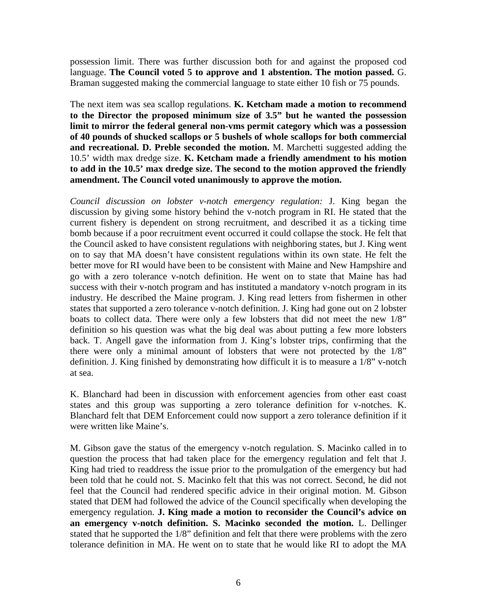possession limit. There was further discussion both for and against the proposed cod language. **The Council voted 5 to approve and 1 abstention. The motion passed.** G. Braman suggested making the commercial language to state either 10 fish or 75 pounds.

The next item was sea scallop regulations. **K. Ketcham made a motion to recommend to the Director the proposed minimum size of 3.5" but he wanted the possession limit to mirror the federal general non-vms permit category which was a possession of 40 pounds of shucked scallops or 5 bushels of whole scallops for both commercial and recreational. D. Preble seconded the motion.** M. Marchetti suggested adding the 10.5' width max dredge size. **K. Ketcham made a friendly amendment to his motion to add in the 10.5' max dredge size. The second to the motion approved the friendly amendment. The Council voted unanimously to approve the motion.** 

*Council discussion on lobster v-notch emergency regulation:* J. King began the discussion by giving some history behind the v-notch program in RI. He stated that the current fishery is dependent on strong recruitment, and described it as a ticking time bomb because if a poor recruitment event occurred it could collapse the stock. He felt that the Council asked to have consistent regulations with neighboring states, but J. King went on to say that MA doesn't have consistent regulations within its own state. He felt the better move for RI would have been to be consistent with Maine and New Hampshire and go with a zero tolerance v-notch definition. He went on to state that Maine has had success with their v-notch program and has instituted a mandatory v-notch program in its industry. He described the Maine program. J. King read letters from fishermen in other states that supported a zero tolerance v-notch definition. J. King had gone out on 2 lobster boats to collect data. There were only a few lobsters that did not meet the new 1/8" definition so his question was what the big deal was about putting a few more lobsters back. T. Angell gave the information from J. King's lobster trips, confirming that the there were only a minimal amount of lobsters that were not protected by the 1/8" definition. J. King finished by demonstrating how difficult it is to measure a 1/8" v-notch at sea.

K. Blanchard had been in discussion with enforcement agencies from other east coast states and this group was supporting a zero tolerance definition for v-notches. K. Blanchard felt that DEM Enforcement could now support a zero tolerance definition if it were written like Maine's.

M. Gibson gave the status of the emergency v-notch regulation. S. Macinko called in to question the process that had taken place for the emergency regulation and felt that J. King had tried to readdress the issue prior to the promulgation of the emergency but had been told that he could not. S. Macinko felt that this was not correct. Second, he did not feel that the Council had rendered specific advice in their original motion. M. Gibson stated that DEM had followed the advice of the Council specifically when developing the emergency regulation. **J. King made a motion to reconsider the Council's advice on an emergency v-notch definition. S. Macinko seconded the motion.** L. Dellinger stated that he supported the 1/8" definition and felt that there were problems with the zero tolerance definition in MA. He went on to state that he would like RI to adopt the MA